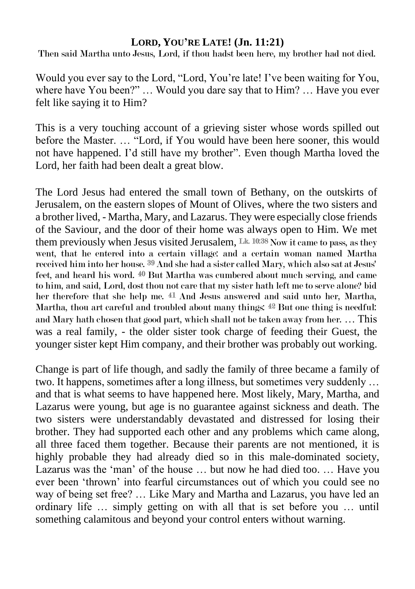## **LORD, YOU'RE LATE! (Jn. 11:21)**

Then said Martha unto Jesus, Lord, if thou hadst been here, my brother had not died.

Would you ever say to the Lord, "Lord, You're late! I've been waiting for You, where have You been?" … Would you dare say that to Him? … Have you ever felt like saying it to Him?

This is a very touching account of a grieving sister whose words spilled out before the Master. … "Lord, if You would have been here sooner, this would not have happened. I'd still have my brother". Even though Martha loved the Lord, her faith had been dealt a great blow.

The Lord Jesus had entered the small town of Bethany, on the outskirts of Jerusalem, on the eastern slopes of Mount of Olives, where the two sisters and a brother lived, - Martha, Mary, and Lazarus. They were especially close friends of the Saviour, and the door of their home was always open to Him. We met them previously when Jesus visited Jerusalem,  $Lk$  10:38 Now it came to pass, as they went, that he entered into a certain village: and a certain woman named Martha received him into her house. 39 And she had a sister called Mary, which also sat at Jesus' feet, and heard his word. 40 But Martha was cumbered about much serving, and came to him, and said, Lord, dost thou not care that my sister hath left me to serve alone? bid her therefore that she help me. 41 And Jesus answered and said unto her, Martha, Martha, thou art careful and troubled about many things: 42 But one thing is needful: and Mary hath chosen that good part, which shall not be taken away from her. … This was a real family, - the older sister took charge of feeding their Guest, the younger sister kept Him company, and their brother was probably out working.

Change is part of life though, and sadly the family of three became a family of two. It happens, sometimes after a long illness, but sometimes very suddenly … and that is what seems to have happened here. Most likely, Mary, Martha, and Lazarus were young, but age is no guarantee against sickness and death. The two sisters were understandably devastated and distressed for losing their brother. They had supported each other and any problems which came along, all three faced them together. Because their parents are not mentioned, it is highly probable they had already died so in this male-dominated society, Lazarus was the 'man' of the house … but now he had died too. … Have you ever been 'thrown' into fearful circumstances out of which you could see no way of being set free? … Like Mary and Martha and Lazarus, you have led an ordinary life … simply getting on with all that is set before you … until something calamitous and beyond your control enters without warning.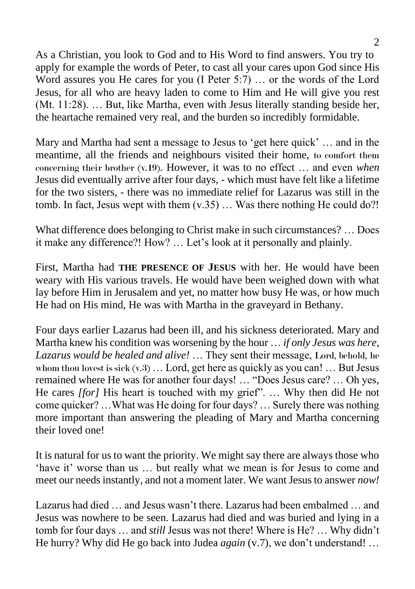As a Christian, you look to God and to His Word to find answers. You try to apply for example the words of Peter, to cast all your cares upon God since His Word assures you He cares for you (I Peter 5:7) … or the words of the Lord Jesus, for all who are heavy laden to come to Him and He will give you rest (Mt. 11:28). … But, like Martha, even with Jesus literally standing beside her, the heartache remained very real, and the burden so incredibly formidable.

Mary and Martha had sent a message to Jesus to 'get here quick' … and in the meantime, all the friends and neighbours visited their home, to comfort them concerning their brother (v.19). However, it was to no effect … and even *when* Jesus did eventually arrive after four days, - which must have felt like a lifetime for the two sisters, - there was no immediate relief for Lazarus was still in the tomb. In fact, Jesus wept with them  $(v.35)$  ... Was there nothing He could do?!

What difference does belonging to Christ make in such circumstances? … Does it make any difference?! How? … Let's look at it personally and plainly.

First, Martha had **THE PRESENCE OF JESUS** with her. He would have been weary with His various travels. He would have been weighed down with what lay before Him in Jerusalem and yet, no matter how busy He was, or how much He had on His mind, He was with Martha in the graveyard in Bethany.

Four days earlier Lazarus had been ill, and his sickness deteriorated. Mary and Martha knew his condition was worsening by the hour … *if only Jesus was here, Lazarus would be healed and alive!* … They sent their message, Lord, behold, he whom thou lovest is sick  $(v.3)$  ... Lord, get here as quickly as you can! ... But Jesus remained where He was for another four days! … "Does Jesus care? … Oh yes, He cares *[for]* His heart is touched with my grief". … Why then did He not come quicker? …What was He doing for four days? … Surely there was nothing more important than answering the pleading of Mary and Martha concerning their loved one!

It is natural for us to want the priority. We might say there are always those who 'have it' worse than us … but really what we mean is for Jesus to come and meet our needs instantly, and not a moment later. We want Jesus to answer *now!*

Lazarus had died … and Jesus wasn't there. Lazarus had been embalmed … and Jesus was nowhere to be seen. Lazarus had died and was buried and lying in a tomb for four days … and *still* Jesus was not there! Where is He? … Why didn't He hurry? Why did He go back into Judea *again* (v.7), we don't understand! …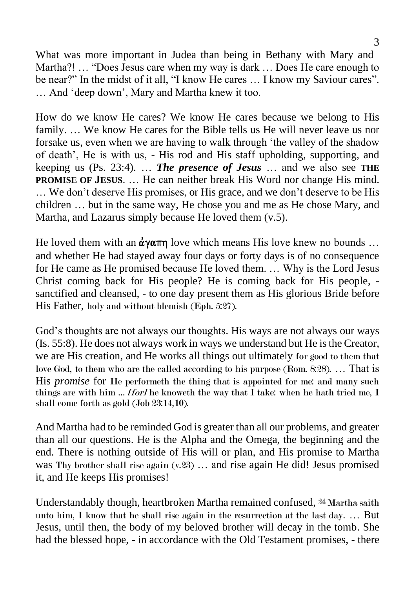What was more important in Judea than being in Bethany with Mary and Martha?! … "Does Jesus care when my way is dark … Does He care enough to be near?" In the midst of it all, "I know He cares … I know my Saviour cares". … And 'deep down', Mary and Martha knew it too.

How do we know He cares? We know He cares because we belong to His family. … We know He cares for the Bible tells us He will never leave us nor forsake us, even when we are having to walk through 'the valley of the shadow of death', He is with us, - His rod and His staff upholding, supporting, and keeping us (Ps. 23:4). … *The presence of Jesus* … and we also see **THE PROMISE OF JESUS.** ... He can neither break His Word nor change His mind. … We don't deserve His promises, or His grace, and we don't deserve to be His children … but in the same way, He chose you and me as He chose Mary, and Martha, and Lazarus simply because He loved them (v.5).

He loved them with an  $\dot{\alpha}$  v $\alpha \pi \eta$  love which means His love knew no bounds ... and whether He had stayed away four days or forty days is of no consequence for He came as He promised because He loved them. … Why is the Lord Jesus Christ coming back for His people? He is coming back for His people, sanctified and cleansed, - to one day present them as His glorious Bride before His Father, holy and without blemish (Eph. 5:27).

God's thoughts are not always our thoughts. His ways are not always our ways (Is. 55:8). He does not always work in ways we understand but He is the Creator, we are His creation, and He works all things out ultimately for good to them that love God, to them who are the called according to his purpose (Rom. 8:28). … That is His *promise* for He performeth the thing that is appointed for me: and many such things are with him  $\ldots$  *[for]* he knoweth the way that I take: when he hath tried me, I shall come forth as gold (Job 23:14,10).

And Martha had to be reminded God is greater than all our problems, and greater than all our questions. He is the Alpha and the Omega, the beginning and the end. There is nothing outside of His will or plan, and His promise to Martha was Thy brother shall rise again  $(v.23)$  ... and rise again He did! Jesus promised it, and He keeps His promises!

Understandably though, heartbroken Martha remained confused, 24 Martha saith unto him, I know that he shall rise again in the resurrection at the last day. … But Jesus, until then, the body of my beloved brother will decay in the tomb. She had the blessed hope, - in accordance with the Old Testament promises, - there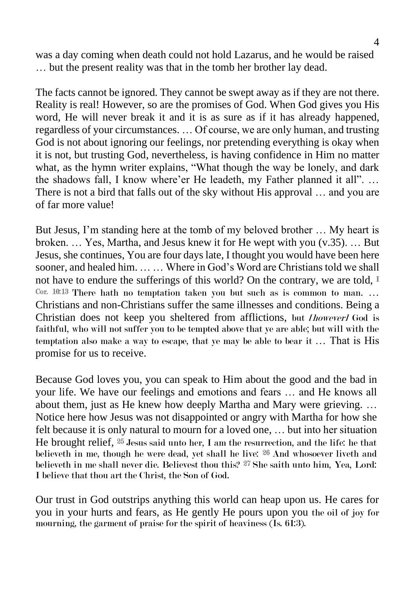was a day coming when death could not hold Lazarus, and he would be raised … but the present reality was that in the tomb her brother lay dead.

The facts cannot be ignored. They cannot be swept away as if they are not there. Reality is real! However, so are the promises of God. When God gives you His word, He will never break it and it is as sure as if it has already happened, regardless of your circumstances. … Of course, we are only human, and trusting God is not about ignoring our feelings, nor pretending everything is okay when it is not, but trusting God, nevertheless, is having confidence in Him no matter what, as the hymn writer explains, "What though the way be lonely, and dark the shadows fall, I know where'er He leadeth, my Father planned it all". … There is not a bird that falls out of the sky without His approval … and you are of far more value!

But Jesus, I'm standing here at the tomb of my beloved brother … My heart is broken. … Yes, Martha, and Jesus knew it for He wept with you (v.35). … But Jesus, she continues, You are four days late, I thought you would have been here sooner, and healed him. … … Where in God's Word are Christians told we shall not have to endure the sufferings of this world? On the contrary, we are told,  $I$ Cor. 10:13 There hath no temptation taken you but such as is common to man. … Christians and non-Christians suffer the same illnesses and conditions. Being a Christian does not keep you sheltered from afflictions, but *[however]* God is faithful, who will not suffer you to be tempted above that ye are able; but will with the temptation also make a way to escape, that ye may be able to bear it … That is His promise for us to receive.

Because God loves you, you can speak to Him about the good and the bad in your life. We have our feelings and emotions and fears … and He knows all about them, just as He knew how deeply Martha and Mary were grieving. … Notice here how Jesus was not disappointed or angry with Martha for how she felt because it is only natural to mourn for a loved one, … but into her situation He brought relief, 25 Jesus said unto her, I am the resurrection, and the life: he that believeth in me, though he were dead, yet shall he live: 26 And whosoever liveth and believeth in me shall never die. Believest thou this? <sup>27</sup> She saith unto him, Yea, Lord: I believe that thou art the Christ, the Son of God.

Our trust in God outstrips anything this world can heap upon us. He cares for you in your hurts and fears, as He gently He pours upon you the oil of joy for mourning, the garment of praise for the spirit of heaviness (Is. 61:3).